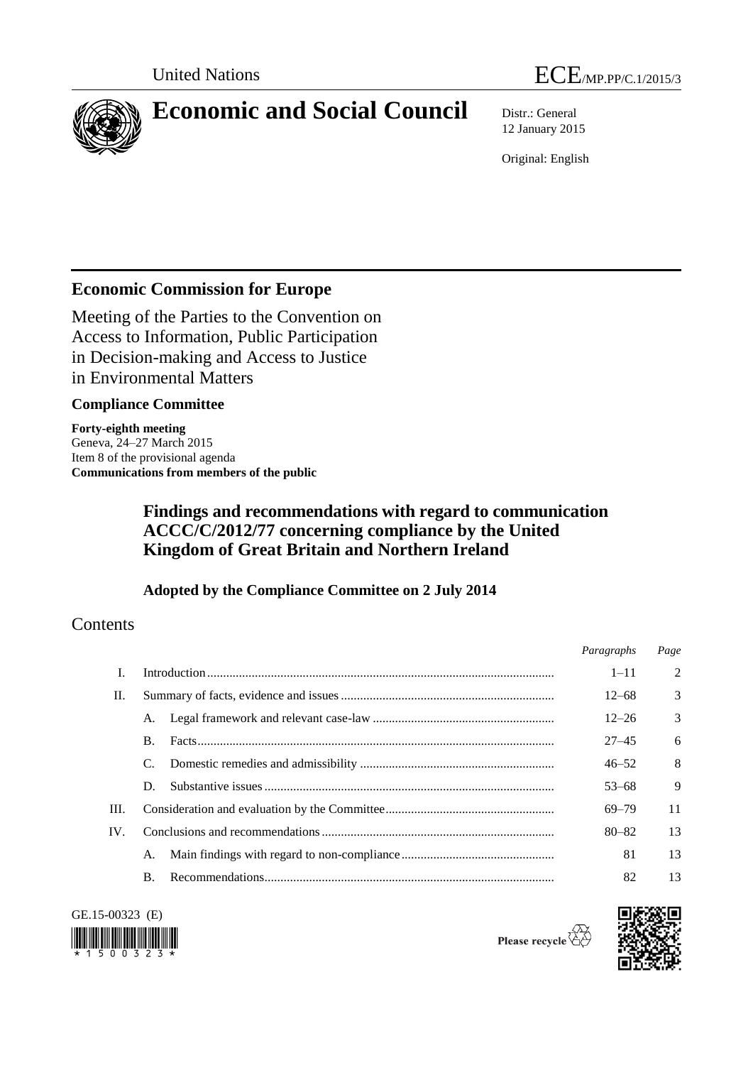



# **Economic and Social Council** Distr.: General

12 January 2015

Original: English

# **Economic Commission for Europe**

Meeting of the Parties to the Convention on Access to Information, Public Participation in Decision-making and Access to Justice in Environmental Matters

### **Compliance Committee**

**Forty-eighth meeting** Geneva, 24–27 March 2015 Item 8 of the provisional agenda **Communications from members of the public**

# **Findings and recommendations with regard to communication ACCC/C/2012/77 concerning compliance by the United Kingdom of Great Britain and Northern Ireland**

### **Adopted by the Compliance Committee on 2 July 2014**

# **Contents**

|      |            |  | Paragraphs | Page          |
|------|------------|--|------------|---------------|
| L    |            |  | $1 - 11$   | 2             |
| П.   |            |  | $12 - 68$  | $\mathcal{E}$ |
|      | A.         |  | $12 - 26$  | $\mathcal{F}$ |
|      | $\bf{B}$ . |  | $27 - 45$  | 6             |
|      | C.         |  | $46 - 52$  | 8             |
|      | D.         |  | $53 - 68$  | 9             |
| III. |            |  | 69–79      | 11            |
| IV.  |            |  | $80 - 82$  | 13            |
|      | А.         |  | 81         | 13            |
|      | <b>B.</b>  |  | 82         | 13            |



Please recycle  $\check{\mathfrak{S}}$ 

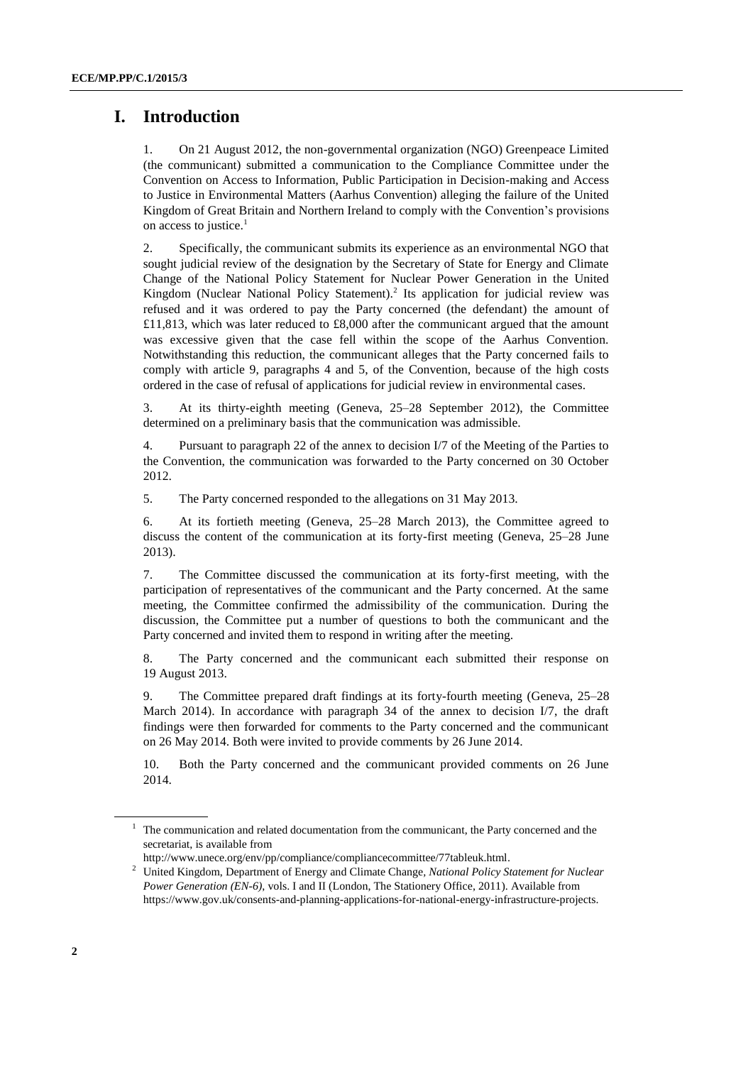### **I. Introduction**

1. On 21 August 2012, the non-governmental organization (NGO) Greenpeace Limited (the communicant) submitted a communication to the Compliance Committee under the Convention on Access to Information, Public Participation in Decision-making and Access to Justice in Environmental Matters (Aarhus Convention) alleging the failure of the United Kingdom of Great Britain and Northern Ireland to comply with the Convention's provisions on access to justice. $<sup>1</sup>$ </sup>

2. Specifically, the communicant submits its experience as an environmental NGO that sought judicial review of the designation by the Secretary of State for Energy and Climate Change of the National Policy Statement for Nuclear Power Generation in the United Kingdom (Nuclear National Policy Statement).<sup>2</sup> Its application for judicial review was refused and it was ordered to pay the Party concerned (the defendant) the amount of £11,813, which was later reduced to £8,000 after the communicant argued that the amount was excessive given that the case fell within the scope of the Aarhus Convention. Notwithstanding this reduction, the communicant alleges that the Party concerned fails to comply with article 9, paragraphs 4 and 5, of the Convention, because of the high costs ordered in the case of refusal of applications for judicial review in environmental cases.

3. At its thirty-eighth meeting (Geneva, 25–28 September 2012), the Committee determined on a preliminary basis that the communication was admissible.

4. Pursuant to paragraph 22 of the annex to decision I/7 of the Meeting of the Parties to the Convention, the communication was forwarded to the Party concerned on 30 October 2012.

5. The Party concerned responded to the allegations on 31 May 2013.

6. At its fortieth meeting (Geneva, 25–28 March 2013), the Committee agreed to discuss the content of the communication at its forty-first meeting (Geneva, 25–28 June 2013).

7. The Committee discussed the communication at its forty-first meeting, with the participation of representatives of the communicant and the Party concerned. At the same meeting, the Committee confirmed the admissibility of the communication. During the discussion, the Committee put a number of questions to both the communicant and the Party concerned and invited them to respond in writing after the meeting.

8. The Party concerned and the communicant each submitted their response on 19 August 2013.

9. The Committee prepared draft findings at its forty-fourth meeting (Geneva, 25–28 March 2014). In accordance with paragraph 34 of the annex to decision I/7, the draft findings were then forwarded for comments to the Party concerned and the communicant on 26 May 2014. Both were invited to provide comments by 26 June 2014.

10. Both the Party concerned and the communicant provided comments on 26 June 2014.

<sup>&</sup>lt;sup>1</sup> The communication and related documentation from the communicant, the Party concerned and the secretariat, is available from

[http://www.unece.org/env/pp/compliance/compliancecommittee/77tableuk.html.](http://www.unece.org/env/pp/compliance/compliancecommittee/77tableuk.html) 

<sup>2</sup> United Kingdom, Department of Energy and Climate Change*, National Policy Statement for Nuclear Power Generation (EN-6)*, vols. I and II (London, The Stationery Office, 2011). Available from https://www.gov.uk/consents-and-planning-applications-for-national-energy-infrastructure-projects.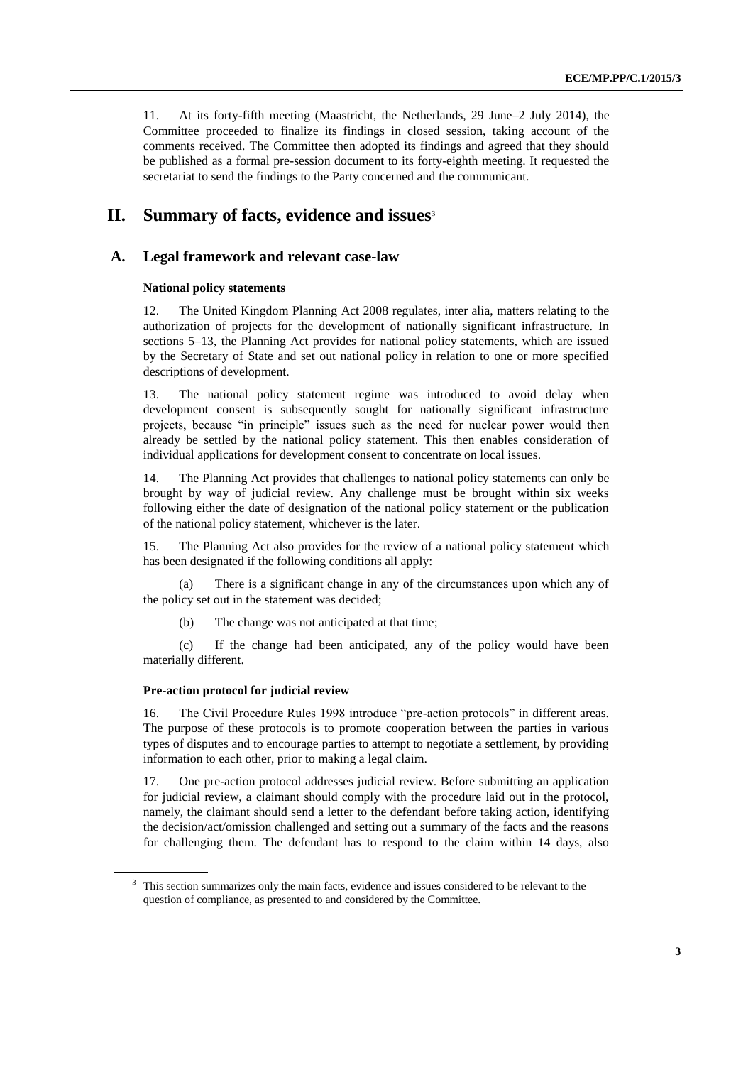11. At its forty-fifth meeting (Maastricht, the Netherlands, 29 June–2 July 2014), the Committee proceeded to finalize its findings in closed session, taking account of the comments received. The Committee then adopted its findings and agreed that they should be published as a formal pre-session document to its forty-eighth meeting. It requested the secretariat to send the findings to the Party concerned and the communicant.

## **II.** Summary of facts, evidence and issues<sup>3</sup>

#### **A. Legal framework and relevant case-law**

#### **National policy statements**

12. The United Kingdom Planning Act 2008 regulates, inter alia, matters relating to the authorization of projects for the development of nationally significant infrastructure. In sections 5–13, the Planning Act provides for national policy statements, which are issued by the Secretary of State and set out national policy in relation to one or more specified descriptions of development.

13. The national policy statement regime was introduced to avoid delay when development consent is subsequently sought for nationally significant infrastructure projects, because "in principle" issues such as the need for nuclear power would then already be settled by the national policy statement. This then enables consideration of individual applications for development consent to concentrate on local issues.

14. The Planning Act provides that challenges to national policy statements can only be brought by way of judicial review. Any challenge must be brought within six weeks following either the date of designation of the national policy statement or the publication of the national policy statement, whichever is the later.

15. The Planning Act also provides for the review of a national policy statement which has been designated if the following conditions all apply:

(a) There is a significant change in any of the circumstances upon which any of the policy set out in the statement was decided;

(b) The change was not anticipated at that time;

(c) If the change had been anticipated, any of the policy would have been materially different.

#### **Pre-action protocol for judicial review**

16. The Civil Procedure Rules 1998 introduce "pre-action protocols" in different areas. The purpose of these protocols is to promote cooperation between the parties in various types of disputes and to encourage parties to attempt to negotiate a settlement, by providing information to each other, prior to making a legal claim.

17. One pre-action protocol addresses judicial review. Before submitting an application for judicial review, a claimant should comply with the procedure laid out in the protocol, namely, the claimant should send a letter to the defendant before taking action, identifying the decision/act/omission challenged and setting out a summary of the facts and the reasons for challenging them. The defendant has to respond to the claim within 14 days, also

<sup>&</sup>lt;sup>3</sup> This section summarizes only the main facts, evidence and issues considered to be relevant to the question of compliance, as presented to and considered by the Committee.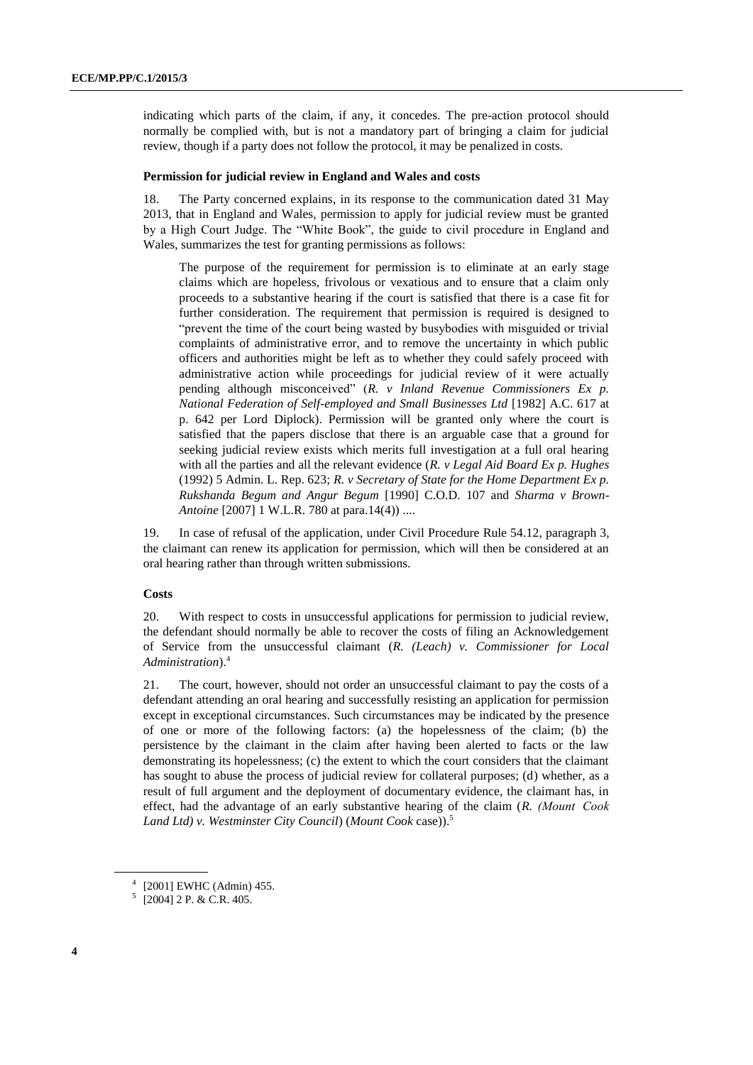indicating which parts of the claim, if any, it concedes. The pre-action protocol should normally be complied with, but is not a mandatory part of bringing a claim for judicial review, though if a party does not follow the protocol, it may be penalized in costs.

#### **Permission for judicial review in England and Wales and costs**

18. The Party concerned explains, in its response to the communication dated 31 May 2013, that in England and Wales, permission to apply for judicial review must be granted by a High Court Judge. The "White Book", the guide to civil procedure in England and Wales, summarizes the test for granting permissions as follows:

The purpose of the requirement for permission is to eliminate at an early stage claims which are hopeless, frivolous or vexatious and to ensure that a claim only proceeds to a substantive hearing if the court is satisfied that there is a case fit for further consideration. The requirement that permission is required is designed to "prevent the time of the court being wasted by busybodies with misguided or trivial complaints of administrative error, and to remove the uncertainty in which public officers and authorities might be left as to whether they could safely proceed with administrative action while proceedings for judicial review of it were actually pending although misconceived" (*R. v Inland Revenue Commissioners Ex p. National Federation of Self-employed and Small Businesses Ltd* [1982] A.C. 617 at p. 642 per Lord Diplock). Permission will be granted only where the court is satisfied that the papers disclose that there is an arguable case that a ground for seeking judicial review exists which merits full investigation at a full oral hearing with all the parties and all the relevant evidence (*R. v Legal Aid Board Ex p. Hughes* (1992) 5 Admin. L. Rep. 623; *R. v Secretary of State for the Home Department Ex p. Rukshanda Begum and Angur Begum* [1990] C.O.D. 107 and *Sharma v Brown-Antoine* [2007] 1 W.L.R. 780 at para.14(4)) ....

19. In case of refusal of the application, under Civil Procedure Rule 54.12, paragraph 3, the claimant can renew its application for permission, which will then be considered at an oral hearing rather than through written submissions.

#### **Costs**

20. With respect to costs in unsuccessful applications for permission to judicial review, the defendant should normally be able to recover the costs of filing an Acknowledgement of Service from the unsuccessful claimant (*R. (Leach) v. Commissioner for Local Administration*). 4

21. The court, however, should not order an unsuccessful claimant to pay the costs of a defendant attending an oral hearing and successfully resisting an application for permission except in exceptional circumstances. Such circumstances may be indicated by the presence of one or more of the following factors: (a) the hopelessness of the claim; (b) the persistence by the claimant in the claim after having been alerted to facts or the law demonstrating its hopelessness; (c) the extent to which the court considers that the claimant has sought to abuse the process of judicial review for collateral purposes; (d) whether, as a result of full argument and the deployment of documentary evidence, the claimant has, in effect, had the advantage of an early substantive hearing of the claim (*R. (Mount  Cook Land Ltd) v. Westminster City Council*) (*Mount Cook* case)). 5

<sup>4</sup> [2001] EWHC (Admin) 455.

 $5$  [2004] 2 P. & C.R. 405.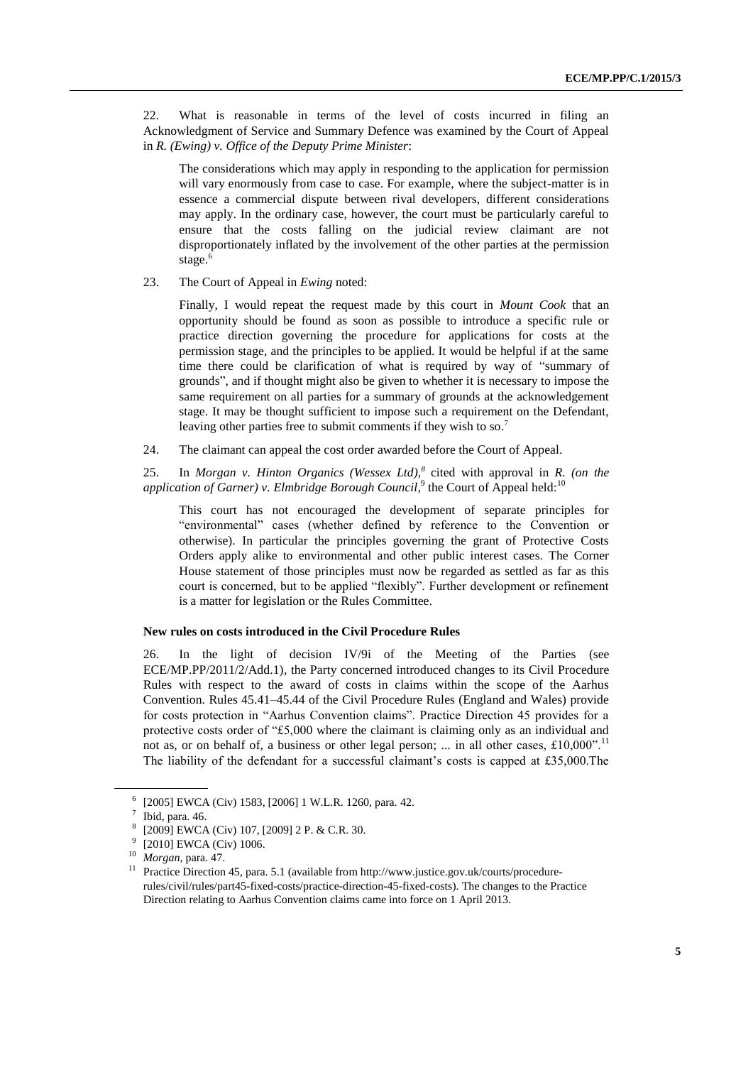22. What is reasonable in terms of the level of costs incurred in filing an Acknowledgment of Service and Summary Defence was examined by the Court of Appeal in *R. (Ewing) v. Office of the Deputy Prime Minister*:

The considerations which may apply in responding to the application for permission will vary enormously from case to case. For example, where the subject-matter is in essence a commercial dispute between rival developers, different considerations may apply. In the ordinary case, however, the court must be particularly careful to ensure that the costs falling on the judicial review claimant are not disproportionately inflated by the involvement of the other parties at the permission stage.<sup>6</sup>

23. The Court of Appeal in *Ewing* noted:

Finally, I would repeat the request made by this court in *Mount Cook* that an opportunity should be found as soon as possible to introduce a specific rule or practice direction governing the procedure for applications for costs at the permission stage, and the principles to be applied. It would be helpful if at the same time there could be clarification of what is required by way of "summary of grounds", and if thought might also be given to whether it is necessary to impose the same requirement on all parties for a summary of grounds at the acknowledgement stage. It may be thought sufficient to impose such a requirement on the Defendant, leaving other parties free to submit comments if they wish to so.<sup>7</sup>

24. The claimant can appeal the cost order awarded before the Court of Appeal.

25. In *Morgan v. Hinton Organics (Wessex Ltd),<sup>8</sup>* cited with approval in *R. (on the*  application of Garner) v. Elmbridge Borough Council,<sup>9</sup> the Court of Appeal held:<sup>10</sup>

This court has not encouraged the development of separate principles for "environmental" cases (whether defined by reference to the Convention or otherwise). In particular the principles governing the grant of Protective Costs Orders apply alike to environmental and other public interest cases. The Corner House statement of those principles must now be regarded as settled as far as this court is concerned, but to be applied "flexibly". Further development or refinement is a matter for legislation or the Rules Committee.

#### **New rules on costs introduced in the Civil Procedure Rules**

26. In the light of decision IV/9i of the Meeting of the Parties (see ECE/MP.PP/2011/2/Add.1), the Party concerned introduced changes to its Civil Procedure Rules with respect to the award of costs in claims within the scope of the Aarhus Convention. Rules 45.41–45.44 of the Civil Procedure Rules (England and Wales) provide for costs protection in "Aarhus Convention claims". Practice Direction 45 provides for a protective costs order of "£5,000 where the claimant is claiming only as an individual and not as, or on behalf of, a business or other legal person; ... in all other cases, £10,000".<sup>11</sup> The liability of the defendant for a successful claimant's costs is capped at £35,000.The

<sup>6</sup> [2005] EWCA (Civ) 1583, [2006] 1 W.L.R. 1260, para. 42.

<sup>7</sup> Ibid, para. 46.

<sup>8</sup> [2009] EWCA (Civ) 107, [2009] 2 P. & C.R. 30.

<sup>9</sup> [2010] EWCA (Civ) 1006.

 $^{10}$  *Morgan*, para. 47.

Practice Direction 45, para. 5.1 (available from [http://www.justice.gov.uk/courts/procedure](http://www.justice.gov.uk/courts/procedure-rules/civil/rules/part45-fixed-costs/practice-direction-45-fixed-costs)[rules/civil/rules/part45-fixed-costs/practice-direction-45-fixed-costs\)](http://www.justice.gov.uk/courts/procedure-rules/civil/rules/part45-fixed-costs/practice-direction-45-fixed-costs). The changes to the Practice Direction relating to Aarhus Convention claims came into force on 1 April 2013.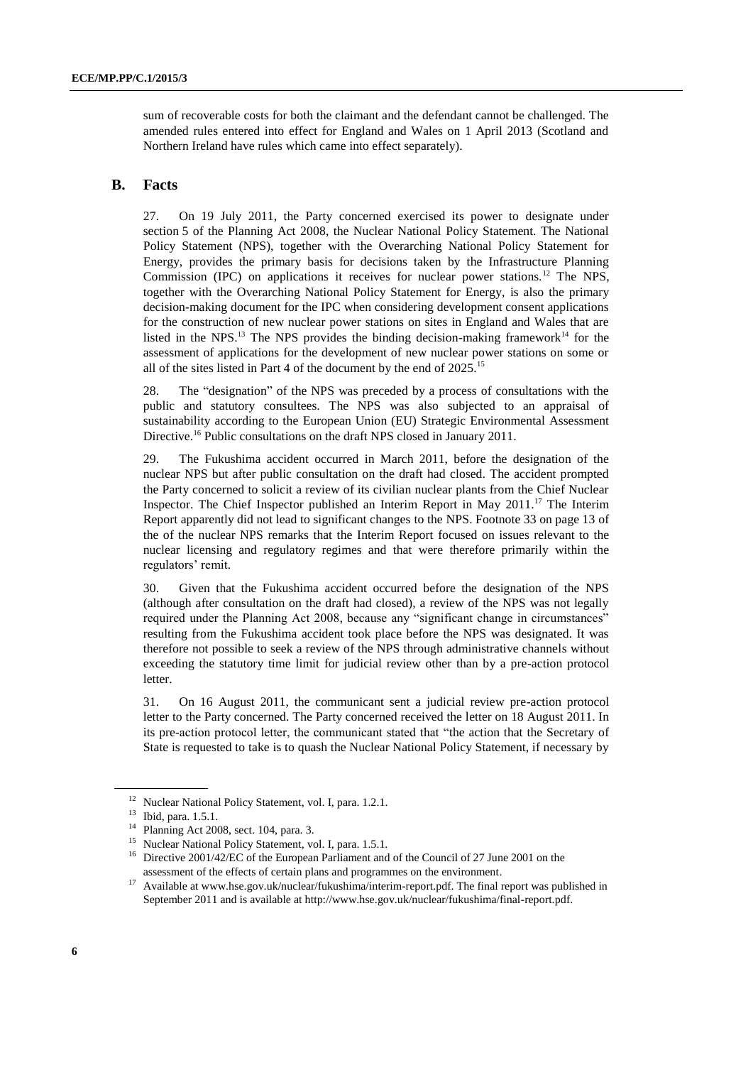sum of recoverable costs for both the claimant and the defendant cannot be challenged. The amended rules entered into effect for England and Wales on 1 April 2013 (Scotland and Northern Ireland have rules which came into effect separately).

#### **B. Facts**

27. On 19 July 2011, the Party concerned exercised its power to designate under section 5 of the Planning Act 2008, the Nuclear National Policy Statement. The National Policy Statement (NPS), together with the Overarching National Policy Statement for Energy, provides the primary basis for decisions taken by the Infrastructure Planning Commission (IPC) on applications it receives for nuclear power stations.<sup>12</sup> The NPS, together with the Overarching National Policy Statement for Energy, is also the primary decision-making document for the IPC when considering development consent applications for the construction of new nuclear power stations on sites in England and Wales that are listed in the NPS.<sup>13</sup> The NPS provides the binding decision-making framework<sup>14</sup> for the assessment of applications for the development of new nuclear power stations on some or all of the sites listed in Part 4 of the document by the end of 2025.<sup>15</sup>

28. The "designation" of the NPS was preceded by a process of consultations with the public and statutory consultees. The NPS was also subjected to an appraisal of sustainability according to the European Union (EU) Strategic Environmental Assessment Directive.<sup>16</sup> Public consultations on the draft NPS closed in January 2011.

29. The Fukushima accident occurred in March 2011, before the designation of the nuclear NPS but after public consultation on the draft had closed. The accident prompted the Party concerned to solicit a review of its civilian nuclear plants from the Chief Nuclear Inspector. The Chief Inspector published an Interim Report in May 2011.<sup>17</sup> The Interim Report apparently did not lead to significant changes to the NPS. Footnote 33 on page 13 of the of the nuclear NPS remarks that the Interim Report focused on issues relevant to the nuclear licensing and regulatory regimes and that were therefore primarily within the regulators' remit.

30. Given that the Fukushima accident occurred before the designation of the NPS (although after consultation on the draft had closed), a review of the NPS was not legally required under the Planning Act 2008, because any "significant change in circumstances" resulting from the Fukushima accident took place before the NPS was designated. It was therefore not possible to seek a review of the NPS through administrative channels without exceeding the statutory time limit for judicial review other than by a pre-action protocol letter.

31. On 16 August 2011, the communicant sent a judicial review pre-action protocol letter to the Party concerned. The Party concerned received the letter on 18 August 2011. In its pre-action protocol letter, the communicant stated that "the action that the Secretary of State is requested to take is to quash the Nuclear National Policy Statement, if necessary by

<sup>&</sup>lt;sup>12</sup> Nuclear National Policy Statement, vol. I, para. 1.2.1.

<sup>13</sup> Ibid, para. 1.5.1.

<sup>14</sup> Planning Act 2008, sect. 104, para. 3.

<sup>&</sup>lt;sup>15</sup> Nuclear National Policy Statement, vol. I, para. 1.5.1.

<sup>&</sup>lt;sup>16</sup> Directive 2001/42/EC of the European Parliament and of the Council of 27 June 2001 on the assessment of the effects of certain plans and programmes on the environment.

<sup>&</sup>lt;sup>17</sup> Available at [www.hse.gov.uk/nuclear/fukushima/interim-report.pdf.](http://www.hse.gov.uk/nuclear/fukushima/interim-report.pdf) The final report was published in September 2011 and is available at http://www.hse.gov.uk/nuclear/fukushima/final-report.pdf.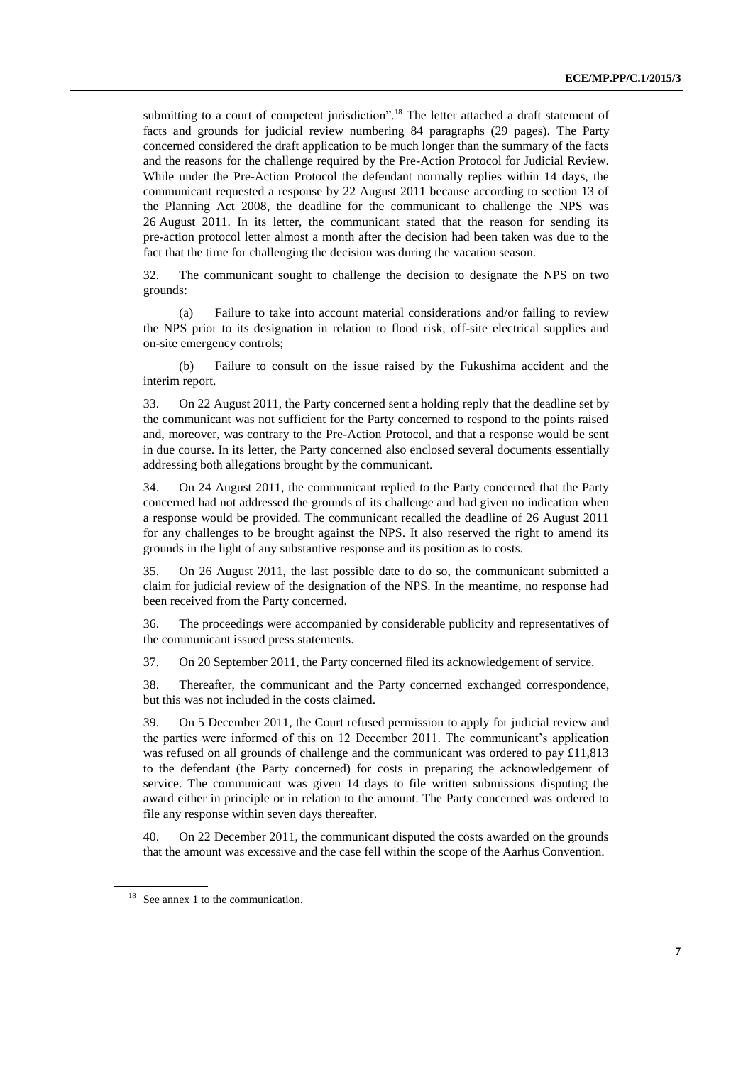submitting to a court of competent jurisdiction".<sup>18</sup> The letter attached a draft statement of facts and grounds for judicial review numbering 84 paragraphs (29 pages). The Party concerned considered the draft application to be much longer than the summary of the facts and the reasons for the challenge required by the Pre-Action Protocol for Judicial Review. While under the Pre-Action Protocol the defendant normally replies within 14 days, the communicant requested a response by 22 August 2011 because according to section 13 of the Planning Act 2008, the deadline for the communicant to challenge the NPS was 26 August 2011. In its letter, the communicant stated that the reason for sending its pre-action protocol letter almost a month after the decision had been taken was due to the fact that the time for challenging the decision was during the vacation season.

32. The communicant sought to challenge the decision to designate the NPS on two grounds:

(a) Failure to take into account material considerations and/or failing to review the NPS prior to its designation in relation to flood risk, off-site electrical supplies and on-site emergency controls;

(b) Failure to consult on the issue raised by the Fukushima accident and the interim report.

33. On 22 August 2011, the Party concerned sent a holding reply that the deadline set by the communicant was not sufficient for the Party concerned to respond to the points raised and, moreover, was contrary to the Pre-Action Protocol, and that a response would be sent in due course. In its letter, the Party concerned also enclosed several documents essentially addressing both allegations brought by the communicant.

34. On 24 August 2011, the communicant replied to the Party concerned that the Party concerned had not addressed the grounds of its challenge and had given no indication when a response would be provided. The communicant recalled the deadline of 26 August 2011 for any challenges to be brought against the NPS. It also reserved the right to amend its grounds in the light of any substantive response and its position as to costs.

35. On 26 August 2011, the last possible date to do so, the communicant submitted a claim for judicial review of the designation of the NPS. In the meantime, no response had been received from the Party concerned.

36. The proceedings were accompanied by considerable publicity and representatives of the communicant issued press statements.

37. On 20 September 2011, the Party concerned filed its acknowledgement of service.

38. Thereafter, the communicant and the Party concerned exchanged correspondence, but this was not included in the costs claimed.

39. On 5 December 2011, the Court refused permission to apply for judicial review and the parties were informed of this on 12 December 2011. The communicant's application was refused on all grounds of challenge and the communicant was ordered to pay £11,813 to the defendant (the Party concerned) for costs in preparing the acknowledgement of service. The communicant was given 14 days to file written submissions disputing the award either in principle or in relation to the amount. The Party concerned was ordered to file any response within seven days thereafter.

40. On 22 December 2011, the communicant disputed the costs awarded on the grounds that the amount was excessive and the case fell within the scope of the Aarhus Convention.

 $18$  See annex 1 to the communication.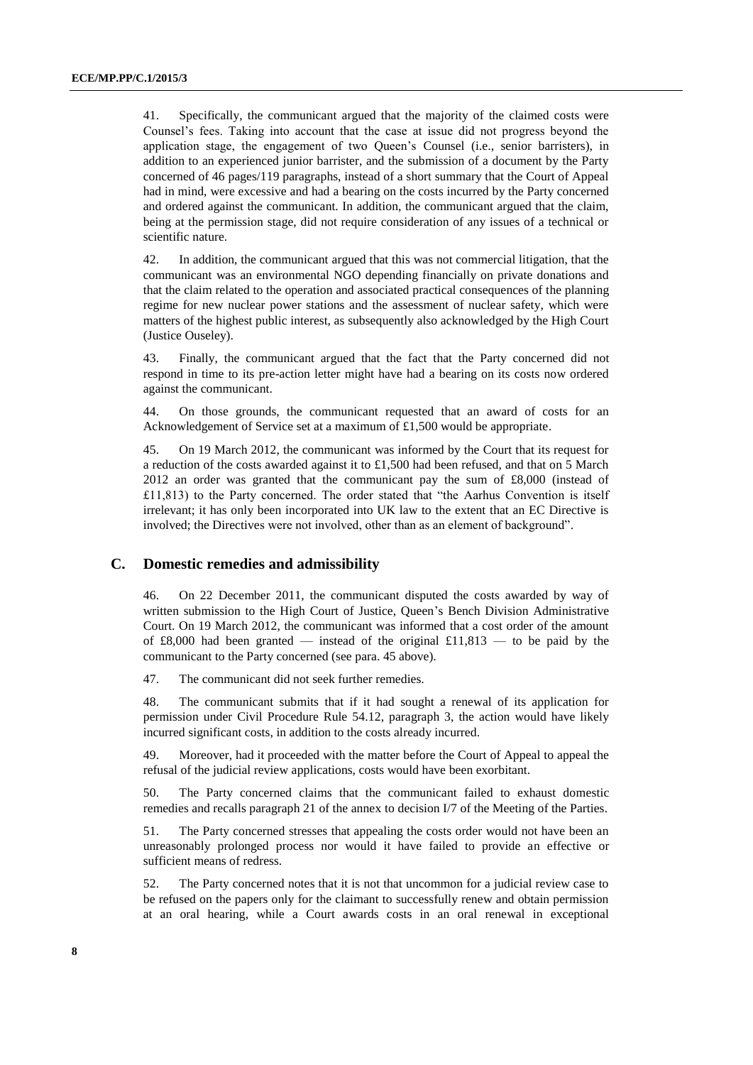41. Specifically, the communicant argued that the majority of the claimed costs were Counsel's fees. Taking into account that the case at issue did not progress beyond the application stage, the engagement of two Queen's Counsel (i.e., senior barristers), in addition to an experienced junior barrister, and the submission of a document by the Party concerned of 46 pages/119 paragraphs, instead of a short summary that the Court of Appeal had in mind, were excessive and had a bearing on the costs incurred by the Party concerned and ordered against the communicant. In addition, the communicant argued that the claim, being at the permission stage, did not require consideration of any issues of a technical or scientific nature.

42. In addition, the communicant argued that this was not commercial litigation, that the communicant was an environmental NGO depending financially on private donations and that the claim related to the operation and associated practical consequences of the planning regime for new nuclear power stations and the assessment of nuclear safety, which were matters of the highest public interest, as subsequently also acknowledged by the High Court (Justice Ouseley).

43. Finally, the communicant argued that the fact that the Party concerned did not respond in time to its pre-action letter might have had a bearing on its costs now ordered against the communicant.

44. On those grounds, the communicant requested that an award of costs for an Acknowledgement of Service set at a maximum of £1,500 would be appropriate.

45. On 19 March 2012, the communicant was informed by the Court that its request for a reduction of the costs awarded against it to £1,500 had been refused, and that on 5 March 2012 an order was granted that the communicant pay the sum of £8,000 (instead of £11,813) to the Party concerned. The order stated that "the Aarhus Convention is itself irrelevant; it has only been incorporated into UK law to the extent that an EC Directive is involved; the Directives were not involved, other than as an element of background".

#### **C. Domestic remedies and admissibility**

46. On 22 December 2011, the communicant disputed the costs awarded by way of written submission to the High Court of Justice, Queen's Bench Division Administrative Court. On 19 March 2012, the communicant was informed that a cost order of the amount of £8,000 had been granted — instead of the original  $£11,813$  — to be paid by the communicant to the Party concerned (see para. 45 above).

47. The communicant did not seek further remedies.

48. The communicant submits that if it had sought a renewal of its application for permission under Civil Procedure Rule 54.12, paragraph 3, the action would have likely incurred significant costs, in addition to the costs already incurred.

49. Moreover, had it proceeded with the matter before the Court of Appeal to appeal the refusal of the judicial review applications, costs would have been exorbitant.

50. The Party concerned claims that the communicant failed to exhaust domestic remedies and recalls paragraph 21 of the annex to decision I/7 of the Meeting of the Parties.

51. The Party concerned stresses that appealing the costs order would not have been an unreasonably prolonged process nor would it have failed to provide an effective or sufficient means of redress.

52. The Party concerned notes that it is not that uncommon for a judicial review case to be refused on the papers only for the claimant to successfully renew and obtain permission at an oral hearing, while a Court awards costs in an oral renewal in exceptional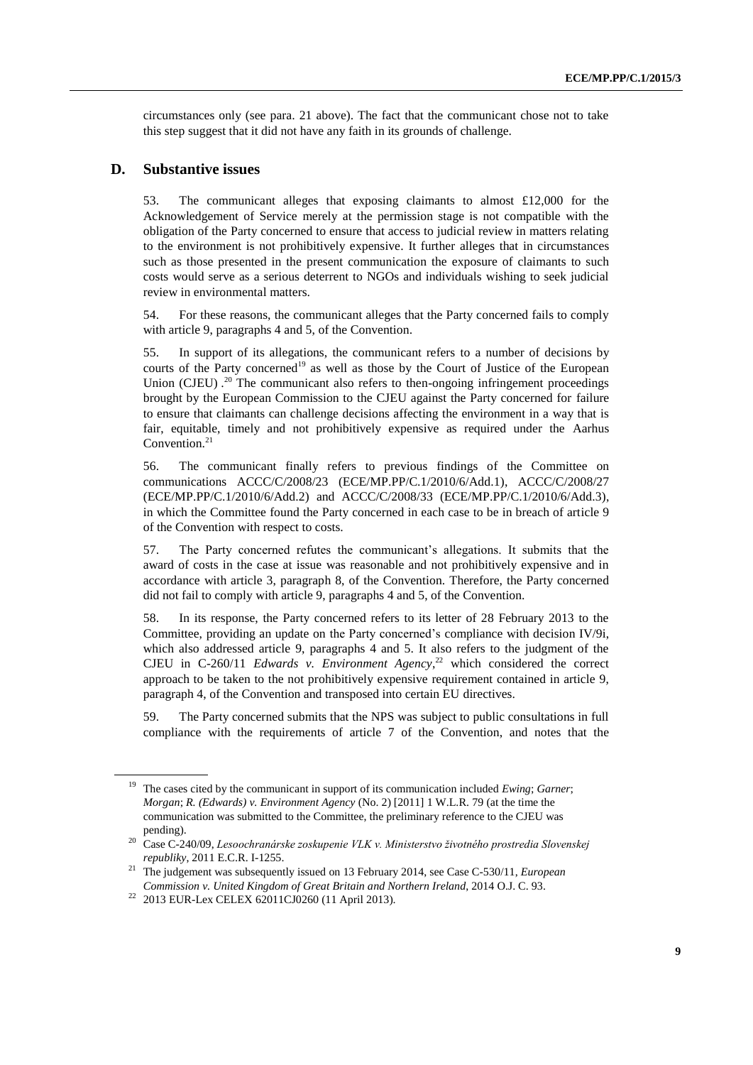circumstances only (see para. 21 above). The fact that the communicant chose not to take this step suggest that it did not have any faith in its grounds of challenge.

#### **D. Substantive issues**

53. The communicant alleges that exposing claimants to almost £12,000 for the Acknowledgement of Service merely at the permission stage is not compatible with the obligation of the Party concerned to ensure that access to judicial review in matters relating to the environment is not prohibitively expensive. It further alleges that in circumstances such as those presented in the present communication the exposure of claimants to such costs would serve as a serious deterrent to NGOs and individuals wishing to seek judicial review in environmental matters.

54. For these reasons, the communicant alleges that the Party concerned fails to comply with article 9, paragraphs 4 and 5, of the Convention.

55. In support of its allegations, the communicant refers to a number of decisions by courts of the Party concerned<sup>19</sup> as well as those by the Court of Justice of the European Union (CJEU).<sup>20</sup> The communicant also refers to then-ongoing infringement proceedings brought by the European Commission to the CJEU against the Party concerned for failure to ensure that claimants can challenge decisions affecting the environment in a way that is fair, equitable, timely and not prohibitively expensive as required under the Aarhus Convention.<sup>21</sup>

56. The communicant finally refers to previous findings of the Committee on communications ACCC/C/2008/23 (ECE/MP.PP/C.1/2010/6/Add.1), ACCC/C/2008/27 (ECE/MP.PP/C.1/2010/6/Add.2) and ACCC/C/2008/33 (ECE/MP.PP/C.1/2010/6/Add.3), in which the Committee found the Party concerned in each case to be in breach of article 9 of the Convention with respect to costs.

57. The Party concerned refutes the communicant's allegations. It submits that the award of costs in the case at issue was reasonable and not prohibitively expensive and in accordance with article 3, paragraph 8, of the Convention. Therefore, the Party concerned did not fail to comply with article 9, paragraphs 4 and 5, of the Convention.

58. In its response, the Party concerned refers to its letter of 28 February 2013 to the Committee, providing an update on the Party concerned's compliance with decision IV/9i, which also addressed article 9, paragraphs 4 and 5. It also refers to the judgment of the CJEU in C-260/11 *Edwards v. Environment Agency*<sup>22</sup> which considered the correct approach to be taken to the not prohibitively expensive requirement contained in article 9, paragraph 4, of the Convention and transposed into certain EU directives.

59. The Party concerned submits that the NPS was subject to public consultations in full compliance with the requirements of article 7 of the Convention, and notes that the

<sup>19</sup> The cases cited by the communicant in support of its communication included *Ewing*; *Garner*; *Morgan*; *R. (Edwards) v. Environment Agency* (No. 2) [2011] 1 W.L.R. 79 (at the time the communication was submitted to the Committee, the preliminary reference to the CJEU was pending).

<sup>20</sup> Case C-240/09, *Lesoochranárske zoskupenie VLK v. Ministerstvo životného prostredia Slovenskej republiky*, 2011 E.C.R. I-1255.

<sup>21</sup> The judgement was subsequently issued on 13 February 2014, see Case C-530/11, *European Commission v. United Kingdom of Great Britain and Northern Ireland*, 2014 O.J. C. 93.

<sup>22</sup> 2013 EUR-Lex CELEX 62011CJ0260 (11 April 2013).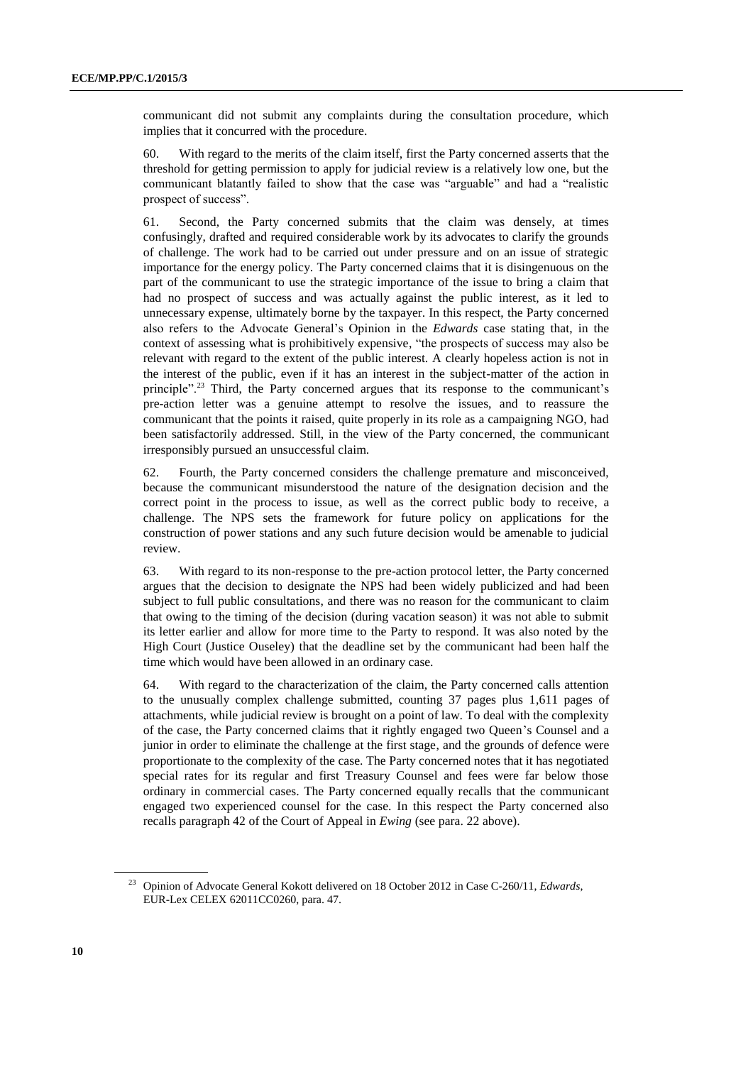communicant did not submit any complaints during the consultation procedure, which implies that it concurred with the procedure.

60. With regard to the merits of the claim itself, first the Party concerned asserts that the threshold for getting permission to apply for judicial review is a relatively low one, but the communicant blatantly failed to show that the case was "arguable" and had a "realistic prospect of success".

61. Second, the Party concerned submits that the claim was densely, at times confusingly, drafted and required considerable work by its advocates to clarify the grounds of challenge. The work had to be carried out under pressure and on an issue of strategic importance for the energy policy. The Party concerned claims that it is disingenuous on the part of the communicant to use the strategic importance of the issue to bring a claim that had no prospect of success and was actually against the public interest, as it led to unnecessary expense, ultimately borne by the taxpayer. In this respect, the Party concerned also refers to the Advocate General's Opinion in the *Edwards* case stating that, in the context of assessing what is prohibitively expensive, "the prospects of success may also be relevant with regard to the extent of the public interest. A clearly hopeless action is not in the interest of the public, even if it has an interest in the subject-matter of the action in principle".<sup>23</sup> Third, the Party concerned argues that its response to the communicant's pre-action letter was a genuine attempt to resolve the issues, and to reassure the communicant that the points it raised, quite properly in its role as a campaigning NGO, had been satisfactorily addressed. Still, in the view of the Party concerned, the communicant irresponsibly pursued an unsuccessful claim.

62. Fourth, the Party concerned considers the challenge premature and misconceived, because the communicant misunderstood the nature of the designation decision and the correct point in the process to issue, as well as the correct public body to receive, a challenge. The NPS sets the framework for future policy on applications for the construction of power stations and any such future decision would be amenable to judicial review.

63. With regard to its non-response to the pre-action protocol letter, the Party concerned argues that the decision to designate the NPS had been widely publicized and had been subject to full public consultations, and there was no reason for the communicant to claim that owing to the timing of the decision (during vacation season) it was not able to submit its letter earlier and allow for more time to the Party to respond. It was also noted by the High Court (Justice Ouseley) that the deadline set by the communicant had been half the time which would have been allowed in an ordinary case.

64. With regard to the characterization of the claim, the Party concerned calls attention to the unusually complex challenge submitted, counting 37 pages plus 1,611 pages of attachments, while judicial review is brought on a point of law. To deal with the complexity of the case, the Party concerned claims that it rightly engaged two Queen's Counsel and a junior in order to eliminate the challenge at the first stage, and the grounds of defence were proportionate to the complexity of the case. The Party concerned notes that it has negotiated special rates for its regular and first Treasury Counsel and fees were far below those ordinary in commercial cases. The Party concerned equally recalls that the communicant engaged two experienced counsel for the case. In this respect the Party concerned also recalls paragraph 42 of the Court of Appeal in *Ewing* (see para. 22 above).

<sup>23</sup> Opinion of Advocate General Kokott delivered on 18 October 2012 in Case C-260/11, *Edwards*, EUR-Lex CELEX 62011CC0260, para. 47.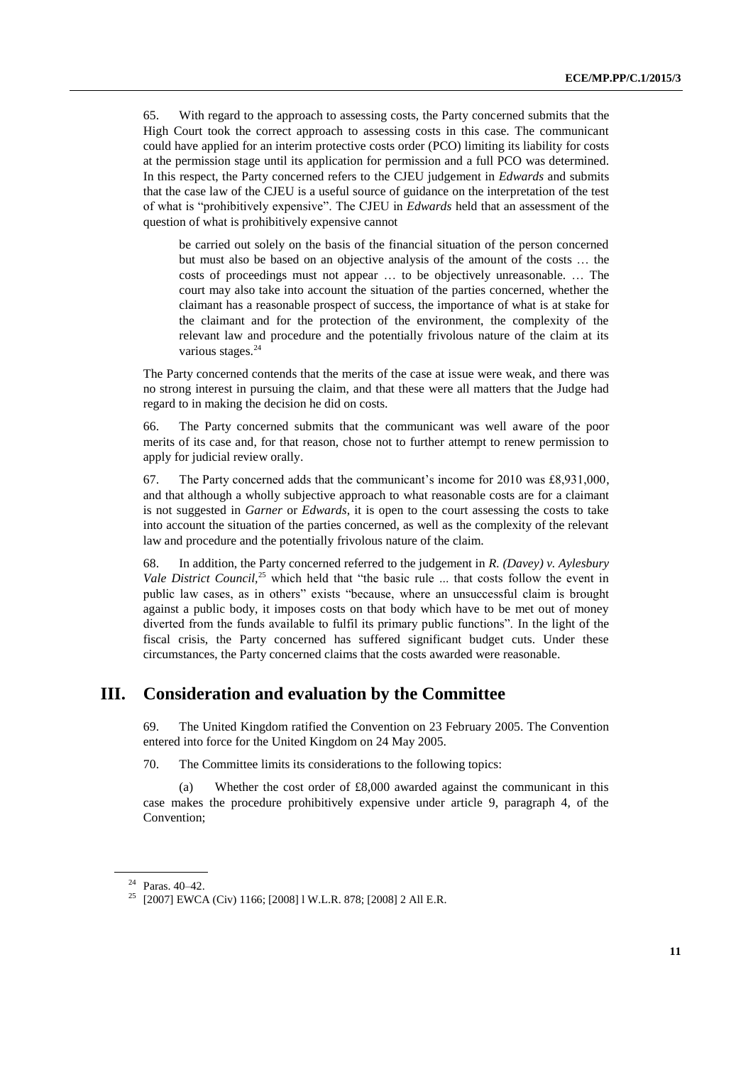65. With regard to the approach to assessing costs, the Party concerned submits that the High Court took the correct approach to assessing costs in this case. The communicant could have applied for an interim protective costs order (PCO) limiting its liability for costs at the permission stage until its application for permission and a full PCO was determined. In this respect, the Party concerned refers to the CJEU judgement in *Edwards* and submits that the case law of the CJEU is a useful source of guidance on the interpretation of the test of what is "prohibitively expensive". The CJEU in *Edwards* held that an assessment of the question of what is prohibitively expensive cannot

be carried out solely on the basis of the financial situation of the person concerned but must also be based on an objective analysis of the amount of the costs … the costs of proceedings must not appear … to be objectively unreasonable. … The court may also take into account the situation of the parties concerned, whether the claimant has a reasonable prospect of success, the importance of what is at stake for the claimant and for the protection of the environment, the complexity of the relevant law and procedure and the potentially frivolous nature of the claim at its various stages.<sup>24</sup>

The Party concerned contends that the merits of the case at issue were weak, and there was no strong interest in pursuing the claim, and that these were all matters that the Judge had regard to in making the decision he did on costs.

66. The Party concerned submits that the communicant was well aware of the poor merits of its case and, for that reason, chose not to further attempt to renew permission to apply for judicial review orally.

67. The Party concerned adds that the communicant's income for 2010 was £8,931,000, and that although a wholly subjective approach to what reasonable costs are for a claimant is not suggested in *Garner* or *Edwards*, it is open to the court assessing the costs to take into account the situation of the parties concerned, as well as the complexity of the relevant law and procedure and the potentially frivolous nature of the claim.

68. In addition, the Party concerned referred to the judgement in *R. (Davey) v. Aylesbury Vale District Council*,<sup>25</sup> which held that "the basic rule ... that costs follow the event in public law cases, as in others" exists "because, where an unsuccessful claim is brought against a public body, it imposes costs on that body which have to be met out of money diverted from the funds available to fulfil its primary public functions". In the light of the fiscal crisis, the Party concerned has suffered significant budget cuts. Under these circumstances, the Party concerned claims that the costs awarded were reasonable.

### **III. Consideration and evaluation by the Committee**

69. The United Kingdom ratified the Convention on 23 February 2005. The Convention entered into force for the United Kingdom on 24 May 2005.

70. The Committee limits its considerations to the following topics:

(a) Whether the cost order of  $£8,000$  awarded against the communicant in this case makes the procedure prohibitively expensive under article 9, paragraph 4, of the Convention;

<sup>24</sup> Paras. 40–42.

<sup>25</sup> [2007] EWCA (Civ) 1166; [2008] l W.L.R. 878; [2008] 2 All E.R.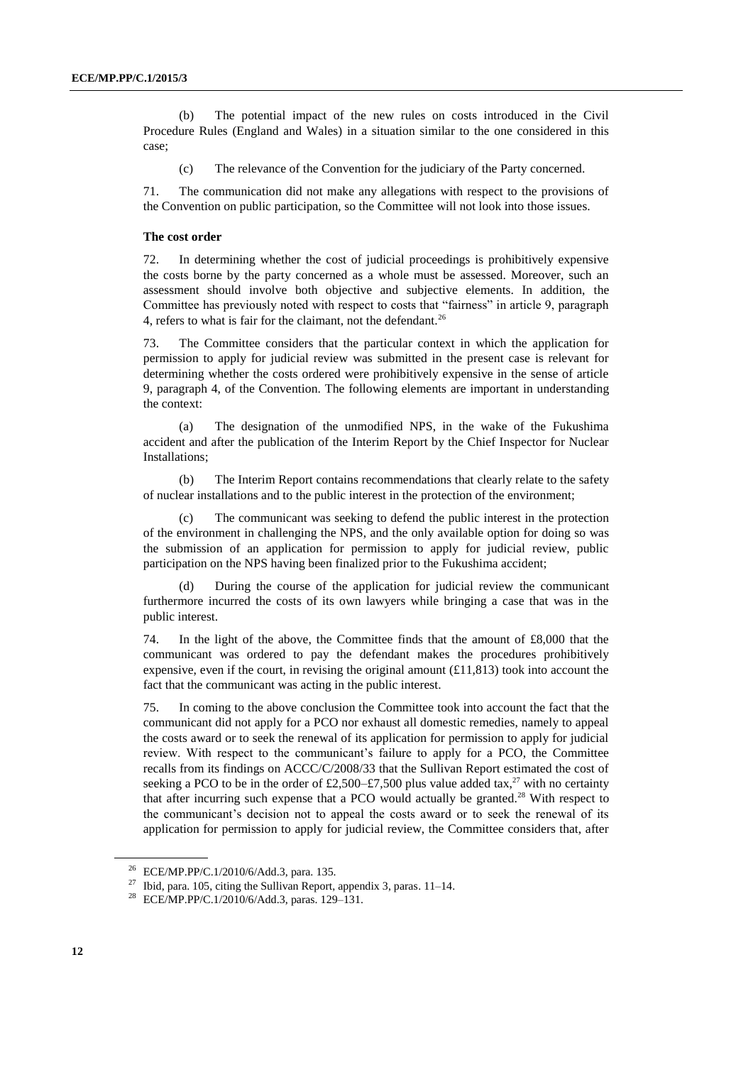(b) The potential impact of the new rules on costs introduced in the Civil Procedure Rules (England and Wales) in a situation similar to the one considered in this case;

(c) The relevance of the Convention for the judiciary of the Party concerned.

71. The communication did not make any allegations with respect to the provisions of the Convention on public participation, so the Committee will not look into those issues.

#### **The cost order**

72. In determining whether the cost of judicial proceedings is prohibitively expensive the costs borne by the party concerned as a whole must be assessed. Moreover, such an assessment should involve both objective and subjective elements. In addition, the Committee has previously noted with respect to costs that "fairness" in article 9, paragraph 4, refers to what is fair for the claimant, not the defendant.<sup>26</sup>

73. The Committee considers that the particular context in which the application for permission to apply for judicial review was submitted in the present case is relevant for determining whether the costs ordered were prohibitively expensive in the sense of article 9, paragraph 4, of the Convention. The following elements are important in understanding the context:

(a) The designation of the unmodified NPS, in the wake of the Fukushima accident and after the publication of the Interim Report by the Chief Inspector for Nuclear Installations;

(b) The Interim Report contains recommendations that clearly relate to the safety of nuclear installations and to the public interest in the protection of the environment;

(c) The communicant was seeking to defend the public interest in the protection of the environment in challenging the NPS, and the only available option for doing so was the submission of an application for permission to apply for judicial review, public participation on the NPS having been finalized prior to the Fukushima accident;

(d) During the course of the application for judicial review the communicant furthermore incurred the costs of its own lawyers while bringing a case that was in the public interest.

74. In the light of the above, the Committee finds that the amount of £8,000 that the communicant was ordered to pay the defendant makes the procedures prohibitively expensive, even if the court, in revising the original amount  $(£11,813)$  took into account the fact that the communicant was acting in the public interest.

75. In coming to the above conclusion the Committee took into account the fact that the communicant did not apply for a PCO nor exhaust all domestic remedies, namely to appeal the costs award or to seek the renewal of its application for permission to apply for judicial review. With respect to the communicant's failure to apply for a PCO, the Committee recalls from its findings on ACCC/C/2008/33 that the Sullivan Report estimated the cost of seeking a PCO to be in the order of £2,500–£7,500 plus value added tax,<sup>27</sup> with no certainty that after incurring such expense that a PCO would actually be granted.<sup>28</sup> With respect to the communicant's decision not to appeal the costs award or to seek the renewal of its application for permission to apply for judicial review, the Committee considers that, after

<sup>26</sup> ECE/MP.PP/C.1/2010/6/Add.3, para. 135.

<sup>&</sup>lt;sup>27</sup> Ibid, para. 105, citing the Sullivan Report, appendix 3, paras. 11–14.

<sup>28</sup> ECE/MP.PP/C.1/2010/6/Add.3, paras. 129–131.